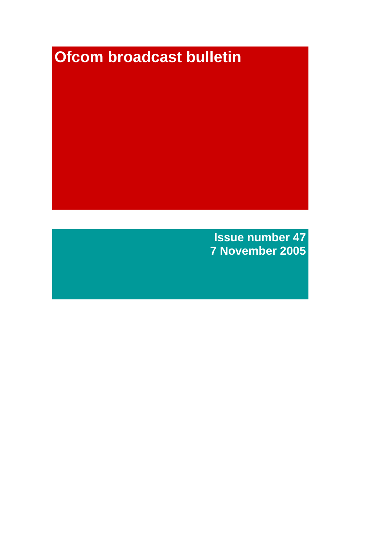# **Ofcom broadcast bulletin**

**Issue number 47 7 November 2005**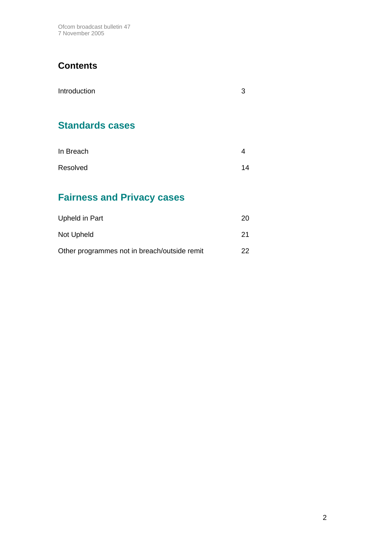Ofcom broadcast bulletin 47 7 November 2005

# **Contents**

| Introduction    | 3 |
|-----------------|---|
|                 |   |
| Clanderde esses |   |

# **Standards cases**

| In Breach |    |
|-----------|----|
| Resolved  | 14 |

# **Fairness and Privacy cases**

| Upheld in Part                               | 20. |
|----------------------------------------------|-----|
| Not Upheld                                   | -21 |
| Other programmes not in breach/outside remit | 22. |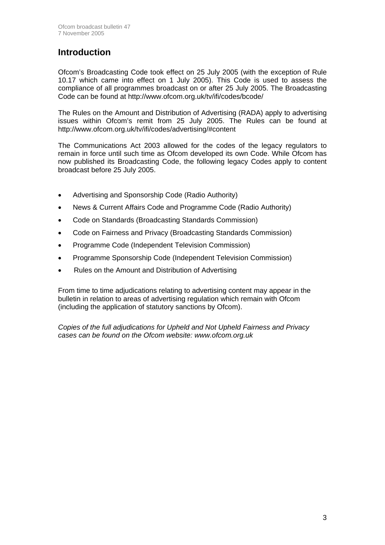# **Introduction**

Ofcom's Broadcasting Code took effect on 25 July 2005 (with the exception of Rule 10.17 which came into effect on 1 July 2005). This Code is used to assess the compliance of all programmes broadcast on or after 25 July 2005. The Broadcasting Code can be found at http://www.ofcom.org.uk/tv/ifi/codes/bcode/

The Rules on the Amount and Distribution of Advertising (RADA) apply to advertising issues within Ofcom's remit from 25 July 2005. The Rules can be found at http://www.ofcom.org.uk/tv/ifi/codes/advertising/#content

The Communications Act 2003 allowed for the codes of the legacy regulators to remain in force until such time as Ofcom developed its own Code. While Ofcom has now published its Broadcasting Code, the following legacy Codes apply to content broadcast before 25 July 2005.

- Advertising and Sponsorship Code (Radio Authority)
- News & Current Affairs Code and Programme Code (Radio Authority)
- Code on Standards (Broadcasting Standards Commission)
- Code on Fairness and Privacy (Broadcasting Standards Commission)
- Programme Code (Independent Television Commission)
- Programme Sponsorship Code (Independent Television Commission)
- Rules on the Amount and Distribution of Advertising

From time to time adjudications relating to advertising content may appear in the bulletin in relation to areas of advertising regulation which remain with Ofcom (including the application of statutory sanctions by Ofcom).

*Copies of the full adjudications for Upheld and Not Upheld Fairness and Privacy cases can be found on the Ofcom website: www.ofcom.org.uk*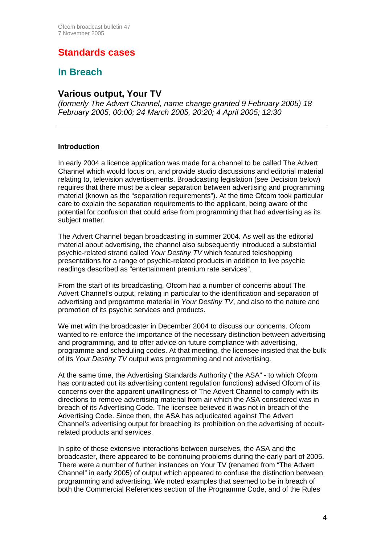# **Standards cases**

# **In Breach**

### **Various output, Your TV**

*(formerly The Advert Channel, name change granted 9 February 2005) 18 February 2005, 00:00; 24 March 2005, 20:20; 4 April 2005; 12:30* 

#### **Introduction**

In early 2004 a licence application was made for a channel to be called The Advert Channel which would focus on, and provide studio discussions and editorial material relating to, television advertisements. Broadcasting legislation (see Decision below) requires that there must be a clear separation between advertising and programming material (known as the "separation requirements"). At the time Ofcom took particular care to explain the separation requirements to the applicant, being aware of the potential for confusion that could arise from programming that had advertising as its subject matter.

The Advert Channel began broadcasting in summer 2004. As well as the editorial material about advertising, the channel also subsequently introduced a substantial psychic-related strand called *Your Destiny TV* which featured teleshopping presentations for a range of psychic-related products in addition to live psychic readings described as "entertainment premium rate services".

From the start of its broadcasting, Ofcom had a number of concerns about The Advert Channel's output, relating in particular to the identification and separation of advertising and programme material in *Your Destiny TV*, and also to the nature and promotion of its psychic services and products.

We met with the broadcaster in December 2004 to discuss our concerns. Ofcom wanted to re-enforce the importance of the necessary distinction between advertising and programming, and to offer advice on future compliance with advertising, programme and scheduling codes. At that meeting, the licensee insisted that the bulk of its *Your Destiny TV* output was programming and not advertising.

At the same time, the Advertising Standards Authority ("the ASA" - to which Ofcom has contracted out its advertising content regulation functions) advised Ofcom of its concerns over the apparent unwillingness of The Advert Channel to comply with its directions to remove advertising material from air which the ASA considered was in breach of its Advertising Code. The licensee believed it was not in breach of the Advertising Code. Since then, the ASA has adjudicated against The Advert Channel's advertising output for breaching its prohibition on the advertising of occultrelated products and services.

In spite of these extensive interactions between ourselves, the ASA and the broadcaster, there appeared to be continuing problems during the early part of 2005. There were a number of further instances on Your TV (renamed from "The Advert Channel" in early 2005) of output which appeared to confuse the distinction between programming and advertising. We noted examples that seemed to be in breach of both the Commercial References section of the Programme Code, and of the Rules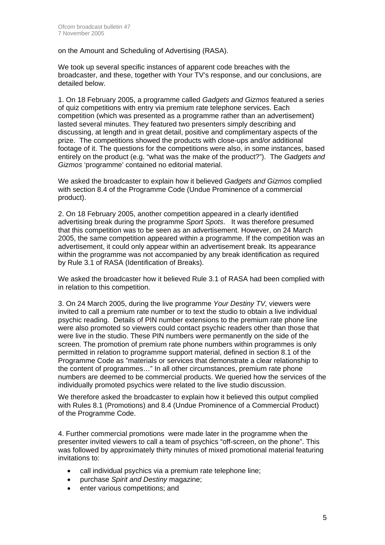on the Amount and Scheduling of Advertising (RASA).

We took up several specific instances of apparent code breaches with the broadcaster, and these, together with Your TV's response, and our conclusions, are detailed below.

1. On 18 February 2005, a programme called *Gadgets and Gizmos* featured a series of quiz competitions with entry via premium rate telephone services. Each competition (which was presented as a programme rather than an advertisement) lasted several minutes. They featured two presenters simply describing and discussing, at length and in great detail, positive and complimentary aspects of the prize. The competitions showed the products with close-ups and/or additional footage of it. The questions for the competitions were also, in some instances, based entirely on the product (e.g. "what was the make of the product?"). The *Gadgets and Gizmos* 'programme' contained no editorial material.

We asked the broadcaster to explain how it believed *Gadgets and Gizmos* complied with section 8.4 of the Programme Code (Undue Prominence of a commercial product).

2. On 18 February 2005, another competition appeared in a clearly identified advertising break during the programme *Sport Spots*. It was therefore presumed that this competition was to be seen as an advertisement. However, on 24 March 2005, the same competition appeared within a programme. If the competition was an advertisement, it could only appear within an advertisement break. Its appearance within the programme was not accompanied by any break identification as required by Rule 3.1 of RASA (Identification of Breaks).

We asked the broadcaster how it believed Rule 3.1 of RASA had been complied with in relation to this competition.

3. On 24 March 2005, during the live programme *Your Destiny TV,* viewers were invited to call a premium rate number or to text the studio to obtain a live individual psychic reading. Details of PIN number extensions to the premium rate phone line were also promoted so viewers could contact psychic readers other than those that were live in the studio. These PIN numbers were permanently on the side of the screen. The promotion of premium rate phone numbers within programmes is only permitted in relation to programme support material, defined in section 8.1 of the Programme Code as "materials or services that demonstrate a clear relationship to the content of programmes…" In all other circumstances, premium rate phone numbers are deemed to be commercial products. We queried how the services of the individually promoted psychics were related to the live studio discussion.

We therefore asked the broadcaster to explain how it believed this output complied with Rules 8.1 (Promotions) and 8.4 (Undue Prominence of a Commercial Product) of the Programme Code.

4. Further commercial promotions were made later in the programme when the presenter invited viewers to call a team of psychics "off-screen, on the phone". This was followed by approximately thirty minutes of mixed promotional material featuring invitations to:

- call individual psychics via a premium rate telephone line;
- purchase *Spirit and Destiny* magazine;
- enter various competitions; and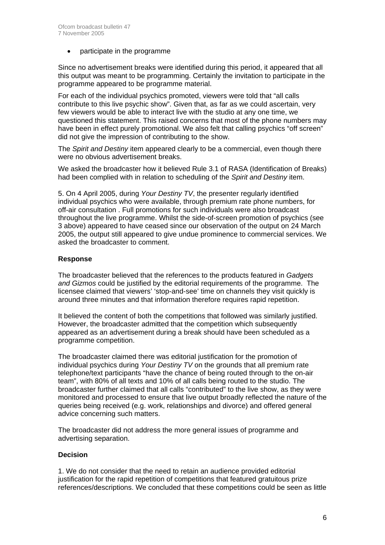• participate in the programme

Since no advertisement breaks were identified during this period, it appeared that all this output was meant to be programming. Certainly the invitation to participate in the programme appeared to be programme material.

For each of the individual psychics promoted, viewers were told that "all calls contribute to this live psychic show". Given that, as far as we could ascertain, very few viewers would be able to interact live with the studio at any one time, we questioned this statement. This raised concerns that most of the phone numbers may have been in effect purely promotional. We also felt that calling psychics "off screen" did not give the impression of contributing to the show.

The *Spirit and Destiny* item appeared clearly to be a commercial, even though there were no obvious advertisement breaks.

We asked the broadcaster how it believed Rule 3.1 of RASA (Identification of Breaks) had been complied with in relation to scheduling of the *Spirit and Destiny* item.

5. On 4 April 2005, during *Your Destiny TV*, the presenter regularly identified individual psychics who were available, through premium rate phone numbers, for off-air consultation . Full promotions for such individuals were also broadcast throughout the live programme. Whilst the side-of-screen promotion of psychics (see 3 above) appeared to have ceased since our observation of the output on 24 March 2005, the output still appeared to give undue prominence to commercial services. We asked the broadcaster to comment.

#### **Response**

The broadcaster believed that the references to the products featured in *Gadgets and Gizmos* could be justified by the editorial requirements of the programme. The licensee claimed that viewers' 'stop-and-see' time on channels they visit quickly is around three minutes and that information therefore requires rapid repetition.

It believed the content of both the competitions that followed was similarly justified. However, the broadcaster admitted that the competition which subsequently appeared as an advertisement during a break should have been scheduled as a programme competition.

The broadcaster claimed there was editorial justification for the promotion of individual psychics during *Your Destiny TV* on the grounds that all premium rate telephone/text participants "have the chance of being routed through to the on-air team", with 80% of all texts and 10% of all calls being routed to the studio. The broadcaster further claimed that all calls "contributed" to the live show, as they were monitored and processed to ensure that live output broadly reflected the nature of the queries being received (e.g. work, relationships and divorce) and offered general advice concerning such matters.

The broadcaster did not address the more general issues of programme and advertising separation.

#### **Decision**

1. We do not consider that the need to retain an audience provided editorial justification for the rapid repetition of competitions that featured gratuitous prize references/descriptions. We concluded that these competitions could be seen as little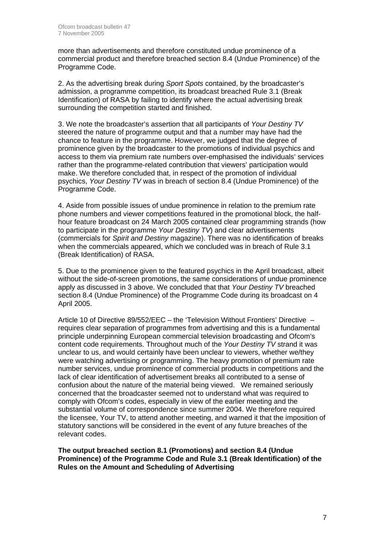more than advertisements and therefore constituted undue prominence of a commercial product and therefore breached section 8.4 (Undue Prominence) of the Programme Code.

2. As the advertising break during *Sport Spots* contained, by the broadcaster's admission, a programme competition, its broadcast breached Rule 3.1 (Break Identification) of RASA by failing to identify where the actual advertising break surrounding the competition started and finished.

3. We note the broadcaster's assertion that all participants of *Your Destiny TV* steered the nature of programme output and that a number may have had the chance to feature in the programme. However, we judged that the degree of prominence given by the broadcaster to the promotions of individual psychics and access to them via premium rate numbers over-emphasised the individuals' services rather than the programme-related contribution that viewers' participation would make. We therefore concluded that, in respect of the promotion of individual psychics, *Your Destiny TV* was in breach of section 8.4 (Undue Prominence) of the Programme Code.

4. Aside from possible issues of undue prominence in relation to the premium rate phone numbers and viewer competitions featured in the promotional block, the halfhour feature broadcast on 24 March 2005 contained clear programming strands (how to participate in the programme *Your Destiny TV*) and clear advertisements (commercials for *Spirit and Destiny* magazine). There was no identification of breaks when the commercials appeared, which we concluded was in breach of Rule 3.1 (Break Identification) of RASA.

5. Due to the prominence given to the featured psychics in the April broadcast, albeit without the side-of-screen promotions, the same considerations of undue prominence apply as discussed in 3 above. We concluded that that *Your Destiny TV* breached section 8.4 (Undue Prominence) of the Programme Code during its broadcast on 4 April 2005.

Article 10 of Directive 89/552/EEC – the 'Television Without Frontiers' Directive – requires clear separation of programmes from advertising and this is a fundamental principle underpinning European commercial television broadcasting and Ofcom's content code requirements. Throughout much of the *Your Destiny TV* strand it was unclear to us, and would certainly have been unclear to viewers, whether we/they were watching advertising or programming. The heavy promotion of premium rate number services, undue prominence of commercial products in competitions and the lack of clear identification of advertisement breaks all contributed to a sense of confusion about the nature of the material being viewed. We remained seriously concerned that the broadcaster seemed not to understand what was required to comply with Ofcom's codes, especially in view of the earlier meeting and the substantial volume of correspondence since summer 2004. We therefore required the licensee, Your TV, to attend another meeting, and warned it that the imposition of statutory sanctions will be considered in the event of any future breaches of the relevant codes.

**The output breached section 8.1 (Promotions) and section 8.4 (Undue Prominence) of the Programme Code and Rule 3.1 (Break Identification) of the Rules on the Amount and Scheduling of Advertising**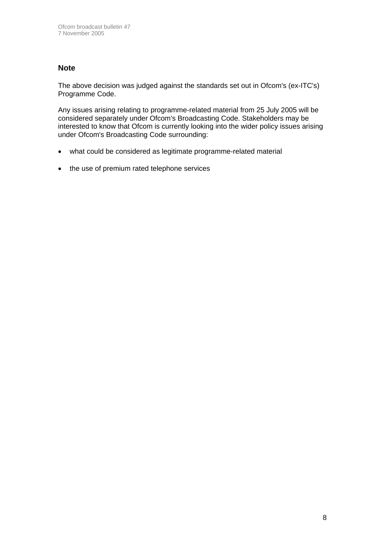### **Note**

The above decision was judged against the standards set out in Ofcom's (ex-ITC's) Programme Code.

Any issues arising relating to programme-related material from 25 July 2005 will be considered separately under Ofcom's Broadcasting Code. Stakeholders may be interested to know that Ofcom is currently looking into the wider policy issues arising under Ofcom's Broadcasting Code surrounding:

- what could be considered as legitimate programme-related material
- the use of premium rated telephone services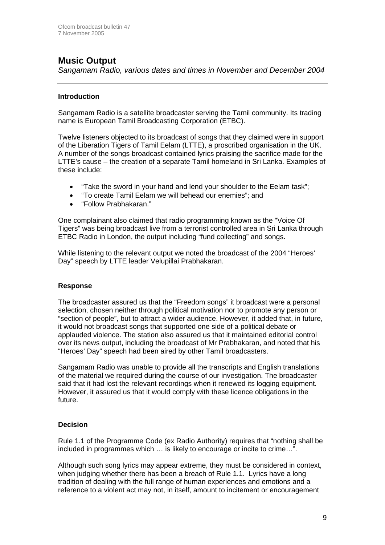# **Music Output**

*Sangamam Radio, various dates and times in November and December 2004*

#### **Introduction**

Sangamam Radio is a satellite broadcaster serving the Tamil community. Its trading name is European Tamil Broadcasting Corporation (ETBC).

Twelve listeners objected to its broadcast of songs that they claimed were in support of the Liberation Tigers of Tamil Eelam (LTTE), a proscribed organisation in the UK. A number of the songs broadcast contained lyrics praising the sacrifice made for the LTTE's cause – the creation of a separate Tamil homeland in Sri Lanka. Examples of these include:

- "Take the sword in your hand and lend your shoulder to the Eelam task";
- "To create Tamil Eelam we will behead our enemies"; and
- "Follow Prabhakaran."

One complainant also claimed that radio programming known as the "Voice Of Tigers" was being broadcast live from a terrorist controlled area in Sri Lanka through ETBC Radio in London, the output including "fund collecting" and songs.

While listening to the relevant output we noted the broadcast of the 2004 "Heroes' Day" speech by LTTE leader Velupillai Prabhakaran.

#### **Response**

The broadcaster assured us that the "Freedom songs" it broadcast were a personal selection, chosen neither through political motivation nor to promote any person or "section of people", but to attract a wider audience. However, it added that, in future, it would not broadcast songs that supported one side of a political debate or applauded violence. The station also assured us that it maintained editorial control over its news output, including the broadcast of Mr Prabhakaran, and noted that his "Heroes' Day" speech had been aired by other Tamil broadcasters.

Sangamam Radio was unable to provide all the transcripts and English translations of the material we required during the course of our investigation. The broadcaster said that it had lost the relevant recordings when it renewed its logging equipment. However, it assured us that it would comply with these licence obligations in the future.

#### **Decision**

Rule 1.1 of the Programme Code (ex Radio Authority) requires that "nothing shall be included in programmes which … is likely to encourage or incite to crime…".

Although such song lyrics may appear extreme, they must be considered in context, when judging whether there has been a breach of Rule 1.1. Lyrics have a long tradition of dealing with the full range of human experiences and emotions and a reference to a violent act may not, in itself, amount to incitement or encouragement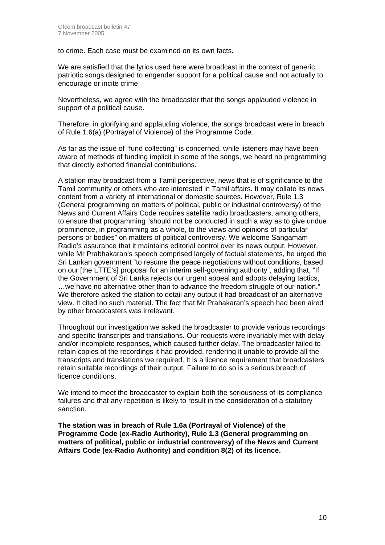to crime. Each case must be examined on its own facts.

We are satisfied that the lyrics used here were broadcast in the context of generic, patriotic songs designed to engender support for a political cause and not actually to encourage or incite crime.

Nevertheless, we agree with the broadcaster that the songs applauded violence in support of a political cause.

Therefore, in glorifying and applauding violence, the songs broadcast were in breach of Rule 1.6(a) (Portrayal of Violence) of the Programme Code.

As far as the issue of "fund collecting" is concerned, while listeners may have been aware of methods of funding implicit in some of the songs, we heard no programming that directly exhorted financial contributions.

A station may broadcast from a Tamil perspective, news that is of significance to the Tamil community or others who are interested in Tamil affairs. It may collate its news content from a variety of international or domestic sources. However, Rule 1.3 (General programming on matters of political, public or industrial controversy) of the News and Current Affairs Code requires satellite radio broadcasters, among others, to ensure that programming "should not be conducted in such a way as to give undue prominence, in programming as a whole, to the views and opinions of particular persons or bodies" on matters of political controversy. We welcome Sangamam Radio's assurance that it maintains editorial control over its news output. However, while Mr Prabhakaran's speech comprised largely of factual statements, he urged the Sri Lankan government "to resume the peace negotiations without conditions, based on our [the LTTE's] proposal for an interim self-governing authority", adding that, "If the Government of Sri Lanka rejects our urgent appeal and adopts delaying tactics, …we have no alternative other than to advance the freedom struggle of our nation." We therefore asked the station to detail any output it had broadcast of an alternative view. It cited no such material. The fact that Mr Prahakaran's speech had been aired by other broadcasters was irrelevant.

Throughout our investigation we asked the broadcaster to provide various recordings and specific transcripts and translations. Our requests were invariably met with delay and/or incomplete responses, which caused further delay. The broadcaster failed to retain copies of the recordings it had provided, rendering it unable to provide all the transcripts and translations we required. It is a licence requirement that broadcasters retain suitable recordings of their output. Failure to do so is a serious breach of licence conditions.

We intend to meet the broadcaster to explain both the seriousness of its compliance failures and that any repetition is likely to result in the consideration of a statutory sanction.

**The station was in breach of Rule 1.6a (Portrayal of Violence) of the Programme Code (ex-Radio Authority), Rule 1.3 (General programming on matters of political, public or industrial controversy) of the News and Current Affairs Code (ex-Radio Authority) and condition 8(2) of its licence.**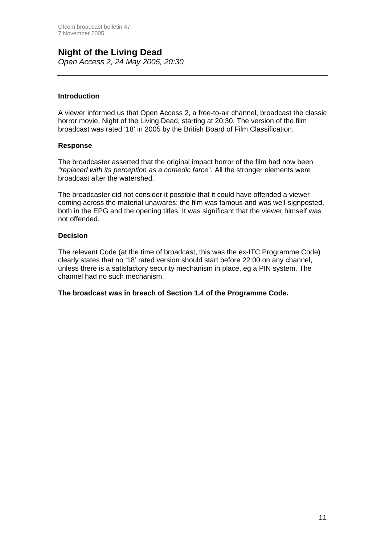#### **Night of the Living Dead**  *Open Access 2, 24 May 2005, 20:30*

#### **Introduction**

A viewer informed us that Open Access 2, a free-to-air channel, broadcast the classic horror movie, Night of the Living Dead, starting at 20:30. The version of the film broadcast was rated '18' in 2005 by the British Board of Film Classification.

#### **Response**

The broadcaster asserted that the original impact horror of the film had now been *"replaced with its perception as a comedic farce*". All the stronger elements were broadcast after the watershed.

The broadcaster did not consider it possible that it could have offended a viewer coming across the material unawares: the film was famous and was well-signposted, both in the EPG and the opening titles. It was significant that the viewer himself was not offended.

#### **Decision**

The relevant Code (at the time of broadcast, this was the ex-ITC Programme Code) clearly states that no '18' rated version should start before 22:00 on any channel, unless there is a satisfactory security mechanism in place, eg a PIN system. The channel had no such mechanism.

**The broadcast was in breach of Section 1.4 of the Programme Code.**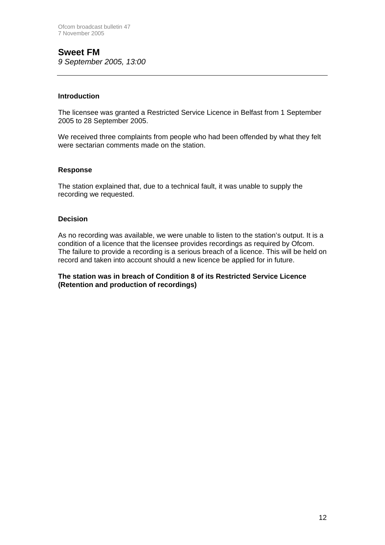### **Sweet FM** *9 September 2005, 13:00*

#### **Introduction**

The licensee was granted a Restricted Service Licence in Belfast from 1 September 2005 to 28 September 2005.

We received three complaints from people who had been offended by what they felt were sectarian comments made on the station.

#### **Response**

The station explained that, due to a technical fault, it was unable to supply the recording we requested.

#### **Decision**

As no recording was available, we were unable to listen to the station's output. It is a condition of a licence that the licensee provides recordings as required by Ofcom. The failure to provide a recording is a serious breach of a licence. This will be held on record and taken into account should a new licence be applied for in future.

#### **The station was in breach of Condition 8 of its Restricted Service Licence (Retention and production of recordings)**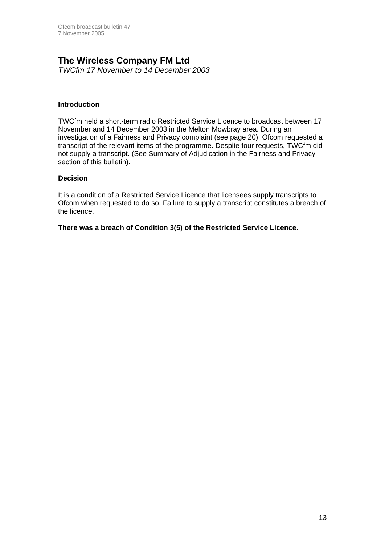# **The Wireless Company FM Ltd**

*TWCfm 17 November to 14 December 2003* 

#### **Introduction**

TWCfm held a short-term radio Restricted Service Licence to broadcast between 17 November and 14 December 2003 in the Melton Mowbray area. During an investigation of a Fairness and Privacy complaint (see page 20), Ofcom requested a transcript of the relevant items of the programme. Despite four requests, TWCfm did not supply a transcript. (See Summary of Adjudication in the Fairness and Privacy section of this bulletin).

#### **Decision**

It is a condition of a Restricted Service Licence that licensees supply transcripts to Ofcom when requested to do so. Failure to supply a transcript constitutes a breach of the licence.

#### **There was a breach of Condition 3(5) of the Restricted Service Licence.**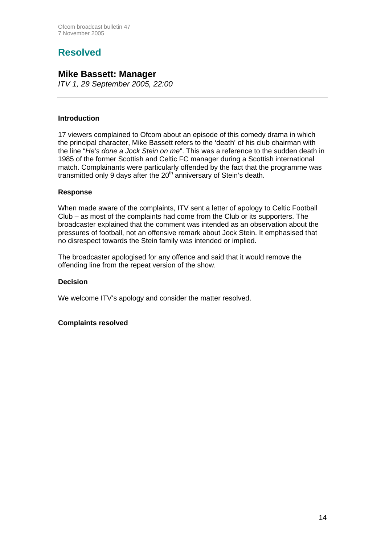# **Resolved**

## **Mike Bassett: Manager**

*ITV 1, 29 September 2005, 22:00*

#### **Introduction**

17 viewers complained to Ofcom about an episode of this comedy drama in which the principal character, Mike Bassett refers to the 'death' of his club chairman with the line "*He's done a Jock Stein on me*". This was a reference to the sudden death in 1985 of the former Scottish and Celtic FC manager during a Scottish international match. Complainants were particularly offended by the fact that the programme was transmitted only 9 days after the  $20<sup>th</sup>$  anniversary of Stein's death.

#### **Response**

When made aware of the complaints, ITV sent a letter of apology to Celtic Football Club – as most of the complaints had come from the Club or its supporters. The broadcaster explained that the comment was intended as an observation about the pressures of football, not an offensive remark about Jock Stein. It emphasised that no disrespect towards the Stein family was intended or implied.

The broadcaster apologised for any offence and said that it would remove the offending line from the repeat version of the show.

#### **Decision**

We welcome ITV's apology and consider the matter resolved.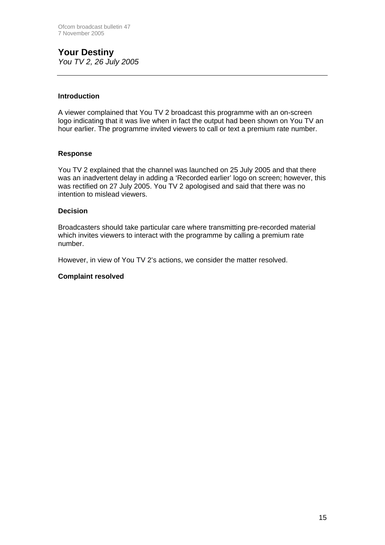### **Your Destiny**  *You TV 2, 26 July 2005*

**Introduction** 

A viewer complained that You TV 2 broadcast this programme with an on-screen logo indicating that it was live when in fact the output had been shown on You TV an hour earlier. The programme invited viewers to call or text a premium rate number.

#### **Response**

You TV 2 explained that the channel was launched on 25 July 2005 and that there was an inadvertent delay in adding a 'Recorded earlier' logo on screen; however, this was rectified on 27 July 2005. You TV 2 apologised and said that there was no intention to mislead viewers.

#### **Decision**

Broadcasters should take particular care where transmitting pre-recorded material which invites viewers to interact with the programme by calling a premium rate number.

However, in view of You TV 2's actions, we consider the matter resolved.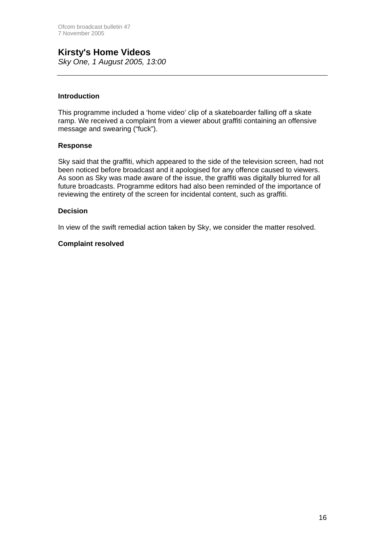# **Kirsty's Home Videos**

*Sky One, 1 August 2005, 13:00*

#### **Introduction**

This programme included a 'home video' clip of a skateboarder falling off a skate ramp. We received a complaint from a viewer about graffiti containing an offensive message and swearing ("fuck").

#### **Response**

Sky said that the graffiti, which appeared to the side of the television screen, had not been noticed before broadcast and it apologised for any offence caused to viewers. As soon as Sky was made aware of the issue, the graffiti was digitally blurred for all future broadcasts. Programme editors had also been reminded of the importance of reviewing the entirety of the screen for incidental content, such as graffiti.

#### **Decision**

In view of the swift remedial action taken by Sky, we consider the matter resolved.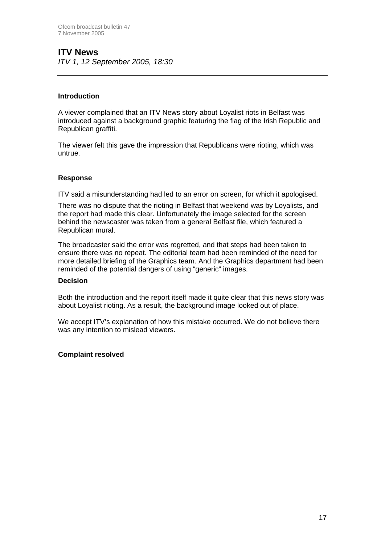## **ITV News**

*ITV 1, 12 September 2005, 18:30*

#### **Introduction**

A viewer complained that an ITV News story about Loyalist riots in Belfast was introduced against a background graphic featuring the flag of the Irish Republic and Republican graffiti.

The viewer felt this gave the impression that Republicans were rioting, which was untrue.

#### **Response**

ITV said a misunderstanding had led to an error on screen, for which it apologised.

There was no dispute that the rioting in Belfast that weekend was by Loyalists, and the report had made this clear. Unfortunately the image selected for the screen behind the newscaster was taken from a general Belfast file, which featured a Republican mural.

The broadcaster said the error was regretted, and that steps had been taken to ensure there was no repeat. The editorial team had been reminded of the need for more detailed briefing of the Graphics team. And the Graphics department had been reminded of the potential dangers of using "generic" images.

#### **Decision**

Both the introduction and the report itself made it quite clear that this news story was about Loyalist rioting. As a result, the background image looked out of place.

We accept ITV's explanation of how this mistake occurred. We do not believe there was any intention to mislead viewers.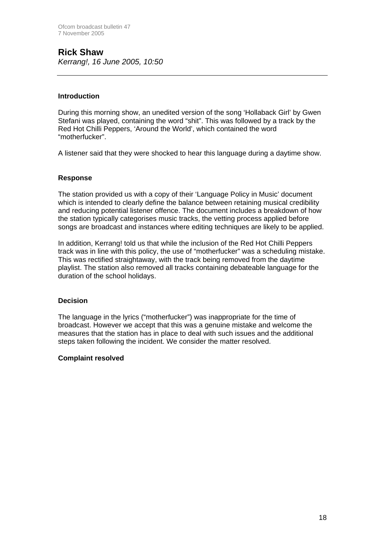## **Rick Shaw**  *Kerrang!, 16 June 2005, 10:50*

#### **Introduction**

During this morning show, an unedited version of the song 'Hollaback Girl' by Gwen Stefani was played, containing the word "shit". This was followed by a track by the Red Hot Chilli Peppers, 'Around the World', which contained the word "motherfucker".

A listener said that they were shocked to hear this language during a daytime show.

#### **Response**

The station provided us with a copy of their 'Language Policy in Music' document which is intended to clearly define the balance between retaining musical credibility and reducing potential listener offence. The document includes a breakdown of how the station typically categorises music tracks, the vetting process applied before songs are broadcast and instances where editing techniques are likely to be applied.

In addition, Kerrang! told us that while the inclusion of the Red Hot Chilli Peppers track was in line with this policy, the use of "motherfucker" was a scheduling mistake. This was rectified straightaway, with the track being removed from the daytime playlist. The station also removed all tracks containing debateable language for the duration of the school holidays.

#### **Decision**

The language in the lyrics ("motherfucker") was inappropriate for the time of broadcast. However we accept that this was a genuine mistake and welcome the measures that the station has in place to deal with such issues and the additional steps taken following the incident. We consider the matter resolved.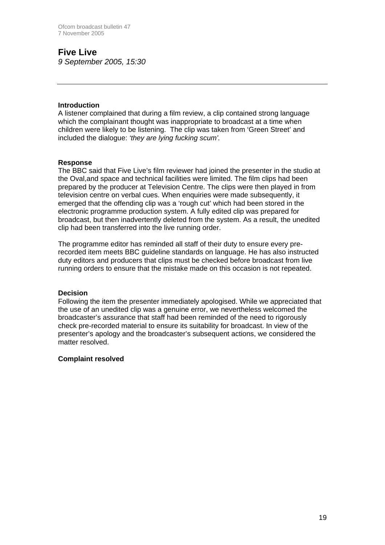# **Five Live**

*9 September 2005, 15:30*

#### **Introduction**

A listener complained that during a film review, a clip contained strong language which the complainant thought was inappropriate to broadcast at a time when children were likely to be listening. The clip was taken from 'Green Street' and included the dialogue: *'they are lying fucking scum'.*

#### **Response**

The BBC said that Five Live's film reviewer had joined the presenter in the studio at the Oval,and space and technical facilities were limited. The film clips had been prepared by the producer at Television Centre. The clips were then played in from television centre on verbal cues. When enquiries were made subsequently, it emerged that the offending clip was a 'rough cut' which had been stored in the electronic programme production system. A fully edited clip was prepared for broadcast, but then inadvertently deleted from the system. As a result, the unedited clip had been transferred into the live running order.

The programme editor has reminded all staff of their duty to ensure every prerecorded item meets BBC guideline standards on language. He has also instructed duty editors and producers that clips must be checked before broadcast from live running orders to ensure that the mistake made on this occasion is not repeated.

#### **Decision**

Following the item the presenter immediately apologised. While we appreciated that the use of an unedited clip was a genuine error, we nevertheless welcomed the broadcaster's assurance that staff had been reminded of the need to rigorously check pre-recorded material to ensure its suitability for broadcast. In view of the presenter's apology and the broadcaster's subsequent actions, we considered the matter resolved.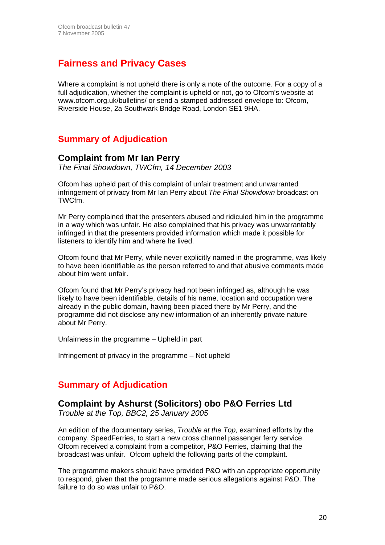# **Fairness and Privacy Cases**

Where a complaint is not upheld there is only a note of the outcome. For a copy of a full adjudication, whether the complaint is upheld or not, go to Ofcom's website at [www.ofcom.org.uk/bulletins/](http://www.ofcom.org.uk/bulletins/) or send a stamped addressed envelope to: Ofcom, Riverside House, 2a Southwark Bridge Road, London SE1 9HA.

# **Summary of Adjudication**

### **Complaint from Mr Ian Perry**

*The Final Showdown, TWCfm, 14 December 2003* 

Ofcom has upheld part of this complaint of unfair treatment and unwarranted infringement of privacy from Mr Ian Perry about *The Final Showdown* broadcast on TWCfm.

Mr Perry complained that the presenters abused and ridiculed him in the programme in a way which was unfair. He also complained that his privacy was unwarrantably infringed in that the presenters provided information which made it possible for listeners to identify him and where he lived.

Ofcom found that Mr Perry, while never explicitly named in the programme, was likely to have been identifiable as the person referred to and that abusive comments made about him were unfair.

Ofcom found that Mr Perry's privacy had not been infringed as, although he was likely to have been identifiable, details of his name, location and occupation were already in the public domain, having been placed there by Mr Perry, and the programme did not disclose any new information of an inherently private nature about Mr Perry.

Unfairness in the programme – Upheld in part

Infringement of privacy in the programme – Not upheld

## **Summary of Adjudication**

### **Complaint by Ashurst (Solicitors) obo P&O Ferries Ltd**

*Trouble at the Top, BBC2, 25 January 2005* 

An edition of the documentary series, *Trouble at the Top,* examined efforts by the company, SpeedFerries, to start a new cross channel passenger ferry service. Ofcom received a complaint from a competitor, P&O Ferries, claiming that the broadcast was unfair. Ofcom upheld the following parts of the complaint.

The programme makers should have provided P&O with an appropriate opportunity to respond, given that the programme made serious allegations against P&O. The failure to do so was unfair to P&O.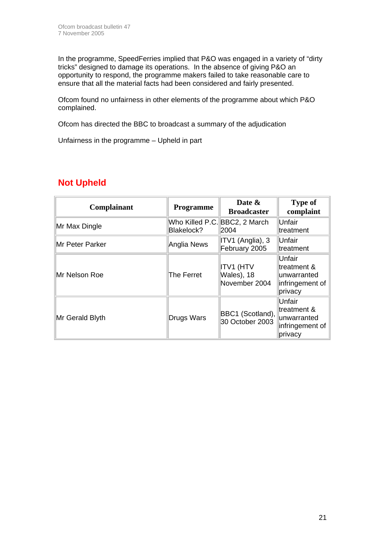In the programme, SpeedFerries implied that P&O was engaged in a variety of "dirty tricks" designed to damage its operations. In the absence of giving P&O an opportunity to respond, the programme makers failed to take reasonable care to ensure that all the material facts had been considered and fairly presented.

Ofcom found no unfairness in other elements of the programme about which P&O complained.

Ofcom has directed the BBC to broadcast a summary of the adjudication

Unfairness in the programme – Upheld in part

| <b>Complainant</b> | <b>Programme</b> | Date &<br><b>Broadcaster</b>                    | <b>Type of</b><br>complaint                                        |
|--------------------|------------------|-------------------------------------------------|--------------------------------------------------------------------|
| Mr Max Dingle      | Blakelock?       | Who Killed P.C. BBC2, 2 March<br>2004           | Unfair<br>treatment                                                |
| Mr Peter Parker    | Anglia News      | ITV1 (Anglia), 3<br>February 2005               | Unfair<br>treatment                                                |
| Mr Nelson Roe      | The Ferret       | <b>ITV1 (HTV</b><br>Wales), 18<br>November 2004 | Unfair<br>treatment &<br>unwarranted<br>infringement of<br>privacy |
| Mr Gerald Blyth    | Drugs Wars       | BBC1 (Scotland),<br>30 October 2003             | Unfair<br>treatment &<br>unwarranted<br>infringement of<br>privacy |

# **Not Upheld**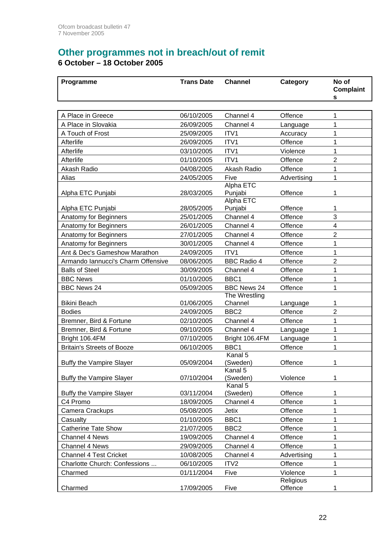# **Other programmes not in breach/out of remit**

**6 October – 18 October 2005** 

| Programme                          | <b>Trans Date</b> | <b>Channel</b>       | Category              | No of<br><b>Complaint</b><br>s |
|------------------------------------|-------------------|----------------------|-----------------------|--------------------------------|
|                                    |                   |                      |                       |                                |
| A Place in Greece                  | 06/10/2005        | Channel 4            | Offence               | 1                              |
| A Place in Slovakia                | 26/09/2005        | Channel 4            | Language              | 1                              |
| A Touch of Frost                   | 25/09/2005        | ITV1                 | Accuracy              | 1                              |
| Afterlife                          | 26/09/2005        | ITV1                 | Offence               | 1                              |
| Afterlife                          | 03/10/2005        | ITV1                 | Violence              | 1                              |
| Afterlife                          | 01/10/2005        | ITV1                 | Offence               | 2                              |
| Akash Radio                        | 04/08/2005        | Akash Radio          | Offence               | 1                              |
| Alias                              | 24/05/2005        | Five                 | Advertising           | 1                              |
| Alpha ETC Punjabi                  | 28/03/2005        | Alpha ETC<br>Punjabi | Offence               | 1                              |
| Alpha ETC Punjabi                  | 28/05/2005        | Alpha ETC<br>Punjabi | Offence               | 1                              |
| Anatomy for Beginners              | 25/01/2005        | Channel 4            | Offence               | 3                              |
| Anatomy for Beginners              | 26/01/2005        | Channel 4            | Offence               | 4                              |
| Anatomy for Beginners              | 27/01/2005        | Channel 4            | Offence               | $\overline{2}$                 |
| Anatomy for Beginners              | 30/01/2005        | Channel 4            | Offence               | 1                              |
| Ant & Dec's Gameshow Marathon      | 24/09/2005        | ITV1                 | Offence               | 1                              |
| Armando Iannucci's Charm Offensive | 08/06/2005        | <b>BBC Radio 4</b>   | Offence               | 2                              |
| <b>Balls of Steel</b>              | 30/09/2005        | Channel 4            | Offence               | 1                              |
| <b>BBC News</b>                    | 01/10/2005        | BBC1                 | Offence               | 1                              |
| <b>BBC News 24</b>                 | 05/09/2005        | <b>BBC News 24</b>   | Offence               | 1                              |
|                                    |                   | The Wrestling        |                       |                                |
| <b>Bikini Beach</b>                | 01/06/2005        | Channel              | Language              | 1                              |
| <b>Bodies</b>                      | 24/09/2005        | BBC <sub>2</sub>     | Offence               | $\overline{2}$                 |
| Bremner, Bird & Fortune            | 02/10/2005        | Channel 4            | Offence               | 1                              |
| Bremner, Bird & Fortune            | 09/10/2005        | Channel 4            | Language              | 1                              |
| Bright 106.4FM                     | 07/10/2005        | Bright 106.4FM       | Language              | 1                              |
| <b>Britain's Streets of Booze</b>  | 06/10/2005        | BBC1                 | Offence               | 1                              |
| Buffy the Vampire Slayer           | 05/09/2004        | Kanal 5<br>(Sweden)  | Offence               | 1                              |
| <b>Buffy the Vampire Slayer</b>    | 07/10/2004        | Kanal 5<br>(Sweden)  | Violence              | 1                              |
| Buffy the Vampire Slayer           | 03/11/2004        | Kanal 5<br>(Sweden)  | Offence               | 1                              |
| C4 Promo                           | 18/09/2005        | Channel 4            | Offence               | 1                              |
| Camera Crackups                    | 05/08/2005        | <b>Jetix</b>         | Offence               | 1                              |
| Casualty                           | 01/10/2005        | BBC1                 | Offence               | 1                              |
| <b>Catherine Tate Show</b>         | 21/07/2005        | BBC <sub>2</sub>     | Offence               | 1                              |
| Channel 4 News                     | 19/09/2005        | Channel 4            | Offence               | 1                              |
| <b>Channel 4 News</b>              | 29/09/2005        | Channel 4            | Offence               | 1                              |
| <b>Channel 4 Test Cricket</b>      | 10/08/2005        | Channel 4            | Advertising           | 1                              |
|                                    |                   | ITV <sub>2</sub>     |                       |                                |
| Charlotte Church: Confessions      | 06/10/2005        |                      | Offence               | 1                              |
| Charmed                            | 01/11/2004        | Five                 | Violence<br>Religious | 1                              |
| Charmed                            | 17/09/2005        | Five                 | Offence               | 1                              |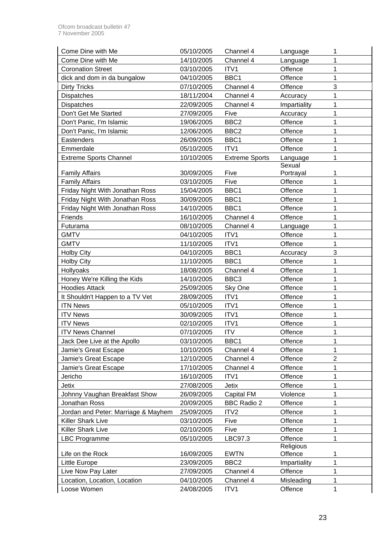| Come Dine with Me                   | 05/10/2005 | Channel 4             | Language     | 1              |
|-------------------------------------|------------|-----------------------|--------------|----------------|
| Come Dine with Me                   | 14/10/2005 | Channel 4             | Language     | 1              |
| <b>Coronation Street</b>            | 03/10/2005 | ITV1                  | Offence      | 1              |
| dick and dom in da bungalow         | 04/10/2005 | BBC1                  | Offence      | 1              |
| <b>Dirty Tricks</b>                 | 07/10/2005 | Channel 4             | Offence      | 3              |
| <b>Dispatches</b>                   | 18/11/2004 | Channel 4             | Accuracy     | 1              |
| Dispatches                          | 22/09/2005 | Channel 4             | Impartiality | 1              |
| Don't Get Me Started                | 27/09/2005 | Five                  | Accuracy     | 1              |
| Don't Panic, I'm Islamic            | 19/06/2005 | BBC <sub>2</sub>      | Offence      | 1              |
| Don't Panic, I'm Islamic            | 12/06/2005 | BBC <sub>2</sub>      | Offence      | 1              |
| Eastenders                          | 26/09/2005 | BBC1                  | Offence      | 1              |
| Emmerdale                           | 05/10/2005 | ITV1                  | Offence      | 1              |
| <b>Extreme Sports Channel</b>       | 10/10/2005 | <b>Extreme Sports</b> | Language     | 1              |
|                                     |            |                       | Sexual       |                |
| <b>Family Affairs</b>               | 30/09/2005 | Five                  | Portrayal    | 1              |
| <b>Family Affairs</b>               | 03/10/2005 | Five                  | Offence      | 1              |
| Friday Night With Jonathan Ross     | 15/04/2005 | BBC1                  | Offence      | 1              |
| Friday Night With Jonathan Ross     | 30/09/2005 | BBC1                  | Offence      | 1              |
| Friday Night With Jonathan Ross     | 14/10/2005 | BBC1                  | Offence      | 1              |
| Friends                             | 16/10/2005 | Channel 4             | Offence      | 1              |
| Futurama                            | 08/10/2005 | Channel 4             | Language     | 1              |
| <b>GMTV</b>                         | 04/10/2005 | ITV1                  | Offence      | 1              |
| <b>GMTV</b>                         | 11/10/2005 | ITV1                  | Offence      | 1              |
| <b>Holby City</b>                   | 04/10/2005 | BBC1                  | Accuracy     | 3              |
| <b>Holby City</b>                   | 11/10/2005 | BBC1                  | Offence      | 1              |
| Hollyoaks                           | 18/08/2005 | Channel 4             | Offence      | 1              |
| Honey We're Killing the Kids        | 14/10/2005 | BBC <sub>3</sub>      | Offence      | 1              |
| <b>Hoodies Attack</b>               | 25/09/2005 | Sky One               | Offence      | 1              |
| It Shouldn't Happen to a TV Vet     | 28/09/2005 | ITV1                  | Offence      | 1              |
| <b>ITN News</b>                     | 05/10/2005 | ITV1                  | Offence      | 1              |
| <b>ITV News</b>                     | 30/09/2005 | ITV1                  | Offence      | 1              |
| <b>ITV News</b>                     | 02/10/2005 | ITV1                  | Offence      | 1              |
| <b>ITV News Channel</b>             | 07/10/2005 | <b>ITV</b>            | Offence      | 1              |
| Jack Dee Live at the Apollo         | 03/10/2005 | BBC1                  | Offence      | 1              |
| Jamie's Great Escape                | 10/10/2005 | Channel 4             | Offence      | 1              |
| Jamie's Great Escape                | 12/10/2005 | Channel 4             | Offence      | $\overline{2}$ |
| Jamie's Great Escape                | 17/10/2005 | Channel 4             | Offence      | 1              |
| Jericho                             | 16/10/2005 | ITV1                  | Offence      | 1              |
| Jetix                               | 27/08/2005 | <b>Jetix</b>          | Offence      | 1              |
| Johnny Vaughan Breakfast Show       | 26/09/2005 | Capital FM            | Violence     | 1              |
| Jonathan Ross                       | 20/09/2005 | <b>BBC Radio 2</b>    | Offence      | 1              |
| Jordan and Peter: Marriage & Mayhem | 25/09/2005 | ITV2                  | Offence      | 1              |
| <b>Killer Shark Live</b>            | 03/10/2005 | Five                  | Offence      | 1              |
| Killer Shark Live                   | 02/10/2005 | Five                  | Offence      | 1              |
| <b>LBC Programme</b>                | 05/10/2005 | LBC97.3               | Offence      | 1              |
|                                     |            |                       | Religious    |                |
| Life on the Rock                    | 16/09/2005 | <b>EWTN</b>           | Offence      | 1              |
| <b>Little Europe</b>                | 23/09/2005 | BBC <sub>2</sub>      | Impartiality | 1              |
| Live Now Pay Later                  | 27/09/2005 | Channel 4             | Offence      | 1              |
| Location, Location, Location        | 04/10/2005 | Channel 4             | Misleading   | 1              |
| Loose Women                         | 24/08/2005 | ITV1                  | Offence      | 1              |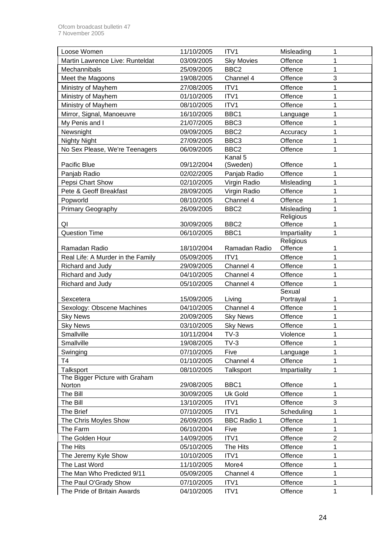| Loose Women                       | 11/10/2005 | ITV1               | Misleading          | 1              |
|-----------------------------------|------------|--------------------|---------------------|----------------|
| Martin Lawrence Live: Runteldat   | 03/09/2005 | <b>Sky Movies</b>  | Offence             | 1              |
| Mechannibals                      | 25/09/2005 | BBC <sub>2</sub>   | Offence             | 1              |
| Meet the Magoons                  | 19/08/2005 | Channel 4          | Offence             | 3              |
| Ministry of Mayhem                | 27/08/2005 | ITV1               | Offence             | 1              |
| Ministry of Mayhem                | 01/10/2005 | ITV1               | Offence             | 1              |
| Ministry of Mayhem                | 08/10/2005 | ITV1               | Offence             | 1              |
| Mirror, Signal, Manoeuvre         | 16/10/2005 | BBC1               | Language            | 1              |
| My Penis and I                    | 21/07/2005 | BBC <sub>3</sub>   | Offence             | 1              |
| Newsnight                         | 09/09/2005 | BBC <sub>2</sub>   | Accuracy            | 1              |
| <b>Nighty Night</b>               | 27/09/2005 | BBC <sub>3</sub>   | Offence             | 1              |
| No Sex Please, We're Teenagers    | 06/09/2005 | BBC <sub>2</sub>   | Offence             | 1              |
|                                   |            | Kanal 5            |                     |                |
| Pacific Blue                      | 09/12/2004 | (Sweden)           | Offence             | 1              |
| Panjab Radio                      | 02/02/2005 | Panjab Radio       | Offence             | 1              |
| Pepsi Chart Show                  | 02/10/2005 | Virgin Radio       | Misleading          | 1              |
| Pete & Geoff Breakfast            | 28/09/2005 | Virgin Radio       | Offence             | 1              |
| Popworld                          | 08/10/2005 | Channel 4          | Offence             | 1              |
| Primary Geography                 | 26/09/2005 | BBC <sub>2</sub>   | Misleading          | 1              |
|                                   |            |                    | Religious           |                |
| QI                                | 30/09/2005 | BBC <sub>2</sub>   | Offence             | 1              |
| <b>Question Time</b>              | 06/10/2005 | BBC1               | Impartiality        | 1              |
|                                   |            |                    | Religious           |                |
| Ramadan Radio                     | 18/10/2004 | Ramadan Radio      | Offence             | 1              |
| Real Life: A Murder in the Family | 05/09/2005 | ITV1               | Offence             | 1              |
| Richard and Judy                  | 29/09/2005 | Channel 4          | Offence             | 1              |
| Richard and Judy                  | 04/10/2005 | Channel 4          | Offence             | 1              |
| Richard and Judy                  | 05/10/2005 | Channel 4          | Offence             | 1              |
| Sexcetera                         | 15/09/2005 | Living             | Sexual<br>Portrayal | 1              |
| Sexology: Obscene Machines        | 04/10/2005 | Channel 4          | Offence             | 1              |
| <b>Sky News</b>                   | 20/09/2005 | <b>Sky News</b>    | Offence             | 1              |
| <b>Sky News</b>                   | 03/10/2005 | <b>Sky News</b>    | Offence             | 1              |
| Smallville                        | 10/11/2004 | $TV-3$             | Violence            | 1              |
| Smallville                        | 19/08/2005 | $TV-3$             | Offence             | 1              |
| Swinging                          | 07/10/2005 | Five               | Language            | 1              |
| Τ4                                | 01/10/2005 | Channel 4          | Offence             | 1              |
| Talksport                         | 08/10/2005 | Talksport          | Impartiality        | 1              |
| The Bigger Picture with Graham    |            |                    |                     |                |
| Norton                            | 29/08/2005 | BBC1               | Offence             | 1              |
| The Bill                          | 30/09/2005 | <b>Uk Gold</b>     | Offence             | 1              |
| The Bill                          | 13/10/2005 | ITV1               | Offence             | 3              |
| The Brief                         | 07/10/2005 | ITV1               | Scheduling          | 1              |
| The Chris Moyles Show             | 26/09/2005 | <b>BBC Radio 1</b> | Offence             | 1              |
| The Farm                          | 06/10/2004 | Five               | Offence             | 1              |
| The Golden Hour                   | 14/09/2005 | ITV1               | Offence             | $\overline{2}$ |
| The Hits                          | 05/10/2005 | The Hits           | Offence             | 1              |
| The Jeremy Kyle Show              | 10/10/2005 | ITV1               | Offence             | 1              |
| The Last Word                     | 11/10/2005 | More4              | Offence             | 1              |
| The Man Who Predicted 9/11        | 05/09/2005 | Channel 4          | Offence             | 1              |
| The Paul O'Grady Show             | 07/10/2005 | ITV1               | Offence             | 1              |
| The Pride of Britain Awards       | 04/10/2005 | ITV1               | Offence             | 1              |
|                                   |            |                    |                     |                |